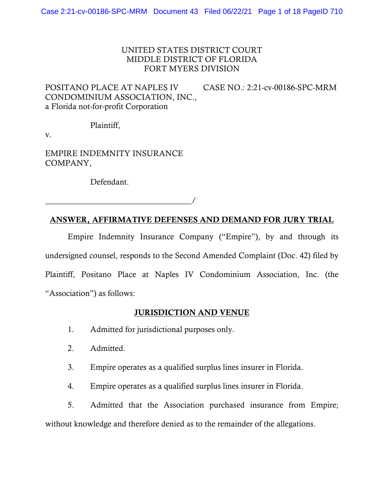# UNITED STATES DISTRICT COURT MIDDLE DISTRICT OF FLORIDA FORT MYERS DIVISION

POSITANO PLACE AT NAPLES IV CASE NO.: 2:21-cv-00186-SPC-MRM CONDOMINIUM ASSOCIATION, INC., a Florida not-for-profit Corporation

Plaintiff,

v.

EMPIRE INDEMNITY INSURANCE COMPANY,

Defendant.

\_\_\_\_\_\_\_\_\_\_\_\_\_\_\_\_\_\_\_\_\_\_\_\_\_\_\_\_\_\_\_\_\_\_\_\_/

# ANSWER, AFFIRMATIVE DEFENSES AND DEMAND FOR JURY TRIAL

Empire Indemnity Insurance Company ("Empire"), by and through its undersigned counsel, responds to the Second Amended Complaint (Doc. 42) filed by Plaintiff, Positano Place at Naples IV Condominium Association, Inc. (the "Association") as follows:

# JURISDICTION AND VENUE

- 1. Admitted for jurisdictional purposes only.
- 2. Admitted.
- 3. Empire operates as a qualified surplus lines insurer in Florida.
- 4. Empire operates as a qualified surplus lines insurer in Florida.

5. Admitted that the Association purchased insurance from Empire; without knowledge and therefore denied as to the remainder of the allegations.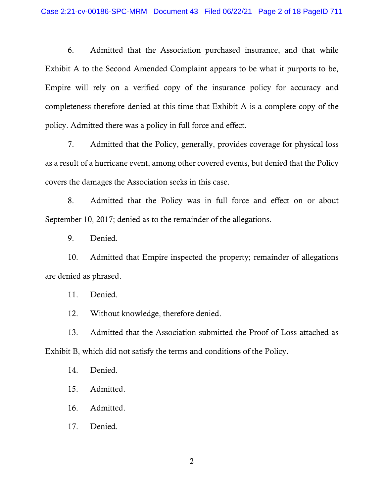6. Admitted that the Association purchased insurance, and that while Exhibit A to the Second Amended Complaint appears to be what it purports to be, Empire will rely on a verified copy of the insurance policy for accuracy and completeness therefore denied at this time that Exhibit A is a complete copy of the policy. Admitted there was a policy in full force and effect.

7. Admitted that the Policy, generally, provides coverage for physical loss as a result of a hurricane event, among other covered events, but denied that the Policy covers the damages the Association seeks in this case.

8. Admitted that the Policy was in full force and effect on or about September 10, 2017; denied as to the remainder of the allegations.

9. Denied.

10. Admitted that Empire inspected the property; remainder of allegations are denied as phrased.

11. Denied.

12. Without knowledge, therefore denied.

13. Admitted that the Association submitted the Proof of Loss attached as Exhibit B, which did not satisfy the terms and conditions of the Policy.

14. Denied.

15. Admitted.

16. Admitted.

17. Denied.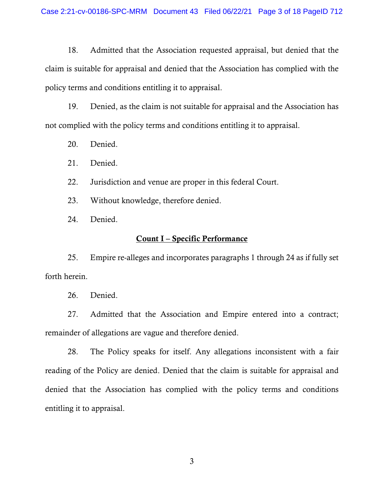18. Admitted that the Association requested appraisal, but denied that the claim is suitable for appraisal and denied that the Association has complied with the policy terms and conditions entitling it to appraisal.

19. Denied, as the claim is not suitable for appraisal and the Association has not complied with the policy terms and conditions entitling it to appraisal.

- 20. Denied.
- 21. Denied.
- 22. Jurisdiction and venue are proper in this federal Court.
- 23. Without knowledge, therefore denied.
- 24. Denied.

# Count I – Specific Performance

25. Empire re-alleges and incorporates paragraphs 1 through 24 as if fully set forth herein.

26. Denied.

27. Admitted that the Association and Empire entered into a contract; remainder of allegations are vague and therefore denied.

28. The Policy speaks for itself. Any allegations inconsistent with a fair reading of the Policy are denied. Denied that the claim is suitable for appraisal and denied that the Association has complied with the policy terms and conditions entitling it to appraisal.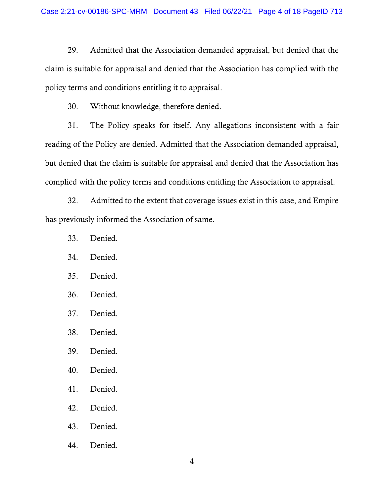29. Admitted that the Association demanded appraisal, but denied that the claim is suitable for appraisal and denied that the Association has complied with the policy terms and conditions entitling it to appraisal.

30. Without knowledge, therefore denied.

31. The Policy speaks for itself. Any allegations inconsistent with a fair reading of the Policy are denied. Admitted that the Association demanded appraisal, but denied that the claim is suitable for appraisal and denied that the Association has complied with the policy terms and conditions entitling the Association to appraisal.

32. Admitted to the extent that coverage issues exist in this case, and Empire has previously informed the Association of same.

- 33. Denied.
- 34. Denied.
- 35. Denied.
- 36. Denied.
- 37. Denied.
- 38. Denied.
- 39. Denied.
- 40. Denied.
- 41. Denied.
- 42. Denied.
- 43. Denied.
- 44. Denied.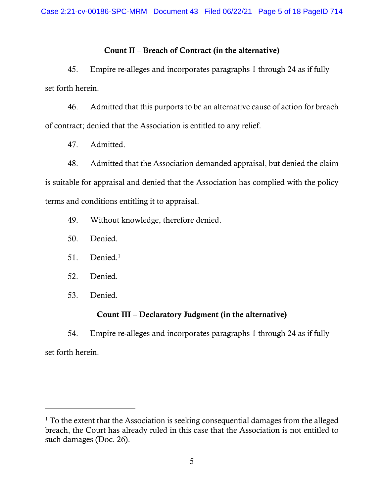# Count II – Breach of Contract (in the alternative)

45. Empire re-alleges and incorporates paragraphs 1 through 24 as if fully set forth herein.

46. Admitted that this purports to be an alternative cause of action for breach of contract; denied that the Association is entitled to any relief.

47. Admitted.

48. Admitted that the Association demanded appraisal, but denied the claim is suitable for appraisal and denied that the Association has complied with the policy terms and conditions entitling it to appraisal.

49. Without knowledge, therefore denied.

- 50. Denied.
- 51. Denied.<sup>1</sup>
- 52. Denied.
- 53. Denied.

 $\overline{a}$ 

# Count III – Declaratory Judgment (in the alternative)

54. Empire re-alleges and incorporates paragraphs 1 through 24 as if fully set forth herein.

<sup>&</sup>lt;sup>1</sup> To the extent that the Association is seeking consequential damages from the alleged breach, the Court has already ruled in this case that the Association is not entitled to such damages (Doc. 26).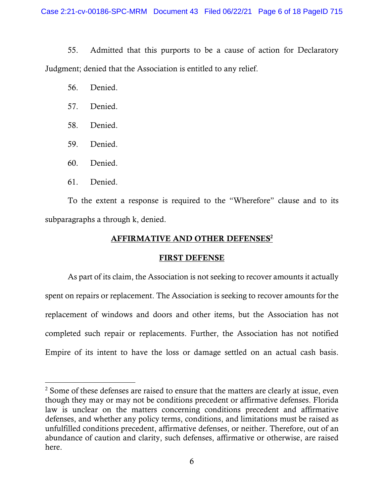55. Admitted that this purports to be a cause of action for Declaratory Judgment; denied that the Association is entitled to any relief.

- 56. Denied.
- 57. Denied.
- 58. Denied.
- 59. Denied.
- 60. Denied.
- 61. Denied.

 $\overline{a}$ 

To the extent a response is required to the "Wherefore" clause and to its subparagraphs a through k, denied.

# AFFIRMATIVE AND OTHER DEFENSES<sup>2</sup>

# FIRST DEFENSE

As part of its claim, the Association is not seeking to recover amounts it actually spent on repairs or replacement. The Association is seeking to recover amounts for the replacement of windows and doors and other items, but the Association has not completed such repair or replacements. Further, the Association has not notified Empire of its intent to have the loss or damage settled on an actual cash basis.

<sup>&</sup>lt;sup>2</sup> Some of these defenses are raised to ensure that the matters are clearly at issue, even though they may or may not be conditions precedent or affirmative defenses. Florida law is unclear on the matters concerning conditions precedent and affirmative defenses, and whether any policy terms, conditions, and limitations must be raised as unfulfilled conditions precedent, affirmative defenses, or neither. Therefore, out of an abundance of caution and clarity, such defenses, affirmative or otherwise, are raised here.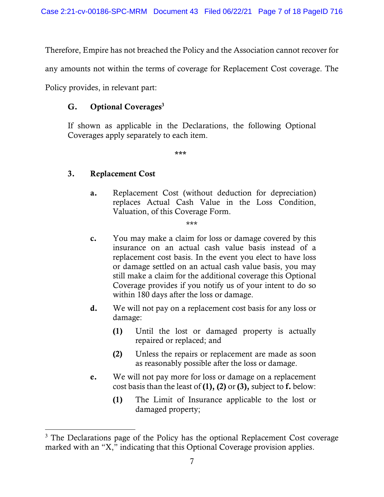Therefore, Empire has not breached the Policy and the Association cannot recover for

any amounts not within the terms of coverage for Replacement Cost coverage. The

Policy provides, in relevant part:

# $G.$  Optional Coverages<sup>3</sup>

If shown as applicable in the Declarations, the following Optional Coverages apply separately to each item.

\*\*\*

# 3. Replacement Cost

 $\overline{a}$ 

a. Replacement Cost (without deduction for depreciation) replaces Actual Cash Value in the Loss Condition, Valuation, of this Coverage Form.

\*\*\*

- c. You may make a claim for loss or damage covered by this insurance on an actual cash value basis instead of a replacement cost basis. In the event you elect to have loss or damage settled on an actual cash value basis, you may still make a claim for the additional coverage this Optional Coverage provides if you notify us of your intent to do so within 180 days after the loss or damage.
- d. We will not pay on a replacement cost basis for any loss or damage:
	- (1) Until the lost or damaged property is actually repaired or replaced; and
	- (2) Unless the repairs or replacement are made as soon as reasonably possible after the loss or damage.
- e. We will not pay more for loss or damage on a replacement cost basis than the least of  $(1)$ ,  $(2)$  or  $(3)$ , subject to f. below:
	- (1) The Limit of Insurance applicable to the lost or damaged property;

<sup>&</sup>lt;sup>3</sup> The Declarations page of the Policy has the optional Replacement Cost coverage marked with an "X," indicating that this Optional Coverage provision applies.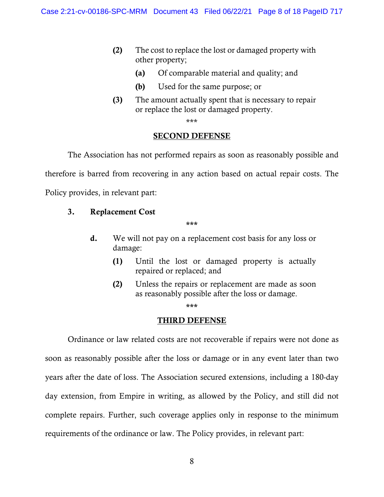- (2) The cost to replace the lost or damaged property with other property;
	- (a) Of comparable material and quality; and
	- (b) Used for the same purpose; or
- (3) The amount actually spent that is necessary to repair or replace the lost or damaged property.

\*\*\*

### SECOND DEFENSE

The Association has not performed repairs as soon as reasonably possible and therefore is barred from recovering in any action based on actual repair costs. The Policy provides, in relevant part:

# 3. Replacement Cost

\*\*\*

- d. We will not pay on a replacement cost basis for any loss or damage:
	- (1) Until the lost or damaged property is actually repaired or replaced; and
	- (2) Unless the repairs or replacement are made as soon as reasonably possible after the loss or damage.

\*\*\*

# THIRD DEFENSE

Ordinance or law related costs are not recoverable if repairs were not done as soon as reasonably possible after the loss or damage or in any event later than two years after the date of loss. The Association secured extensions, including a 180-day day extension, from Empire in writing, as allowed by the Policy, and still did not complete repairs. Further, such coverage applies only in response to the minimum requirements of the ordinance or law. The Policy provides, in relevant part: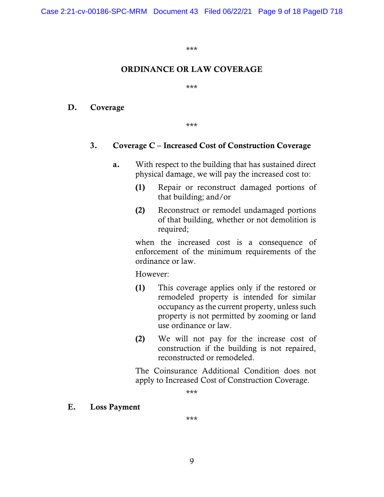\*\*\*

# ORDINANCE OR LAW COVERAGE

\*\*\*

D. Coverage

\*\*\*

### 3. Coverage C – Increased Cost of Construction Coverage

- a. With respect to the building that has sustained direct physical damage, we will pay the increased cost to:
	- (1) Repair or reconstruct damaged portions of that building; and/or
	- (2) Reconstruct or remodel undamaged portions of that building, whether or not demolition is required;

when the increased cost is a consequence of enforcement of the minimum requirements of the ordinance or law.

However:

- (1) This coverage applies only if the restored or remodeled property is intended for similar occupancy as the current property, unless such property is not permitted by zooming or land use ordinance or law.
- (2) We will not pay for the increase cost of construction if the building is not repaired, reconstructed or remodeled.

The Coinsurance Additional Condition does not apply to Increased Cost of Construction Coverage.

\*\*\*

E. Loss Payment

\*\*\*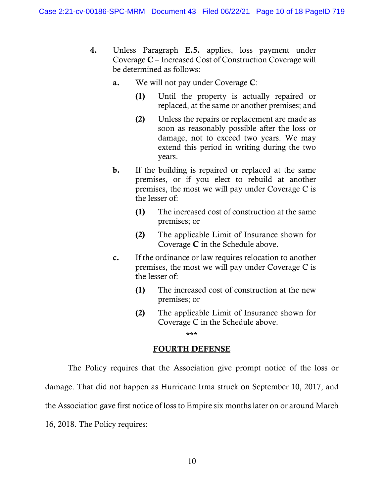- 4. Unless Paragraph E.5. applies, loss payment under Coverage C – Increased Cost of Construction Coverage will be determined as follows:
	- a. We will not pay under Coverage C:
		- (1) Until the property is actually repaired or replaced, at the same or another premises; and
		- (2) Unless the repairs or replacement are made as soon as reasonably possible after the loss or damage, not to exceed two years. We may extend this period in writing during the two years.
	- b. If the building is repaired or replaced at the same premises, or if you elect to rebuild at another premises, the most we will pay under Coverage C is the lesser of:
		- (1) The increased cost of construction at the same premises; or
		- (2) The applicable Limit of Insurance shown for Coverage C in the Schedule above.
	- c. If the ordinance or law requires relocation to another premises, the most we will pay under Coverage C is the lesser of:
		- (1) The increased cost of construction at the new premises; or
		- (2) The applicable Limit of Insurance shown for Coverage C in the Schedule above.

\*\*\*

## FOURTH DEFENSE

The Policy requires that the Association give prompt notice of the loss or damage. That did not happen as Hurricane Irma struck on September 10, 2017, and the Association gave first notice of loss to Empire six months later on or around March 16, 2018. The Policy requires: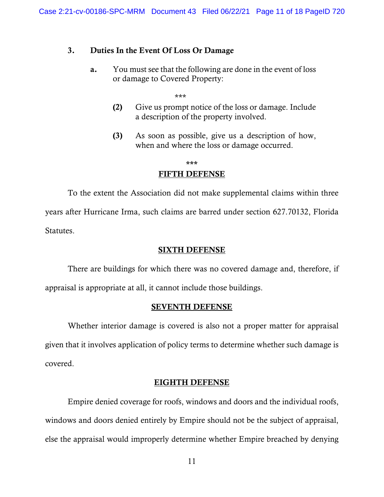# 3. Duties In the Event Of Loss Or Damage

a. You must see that the following are done in the event of loss or damage to Covered Property:

\*\*\*

- (2) Give us prompt notice of the loss or damage. Include a description of the property involved.
- (3) As soon as possible, give us a description of how, when and where the loss or damage occurred.

\*\*\*

### FIFTH DEFENSE

To the extent the Association did not make supplemental claims within three years after Hurricane Irma, such claims are barred under section 627.70132, Florida Statutes.

## SIXTH DEFENSE

There are buildings for which there was no covered damage and, therefore, if appraisal is appropriate at all, it cannot include those buildings.

### SEVENTH DEFENSE

Whether interior damage is covered is also not a proper matter for appraisal given that it involves application of policy terms to determine whether such damage is covered.

### EIGHTH DEFENSE

Empire denied coverage for roofs, windows and doors and the individual roofs, windows and doors denied entirely by Empire should not be the subject of appraisal, else the appraisal would improperly determine whether Empire breached by denying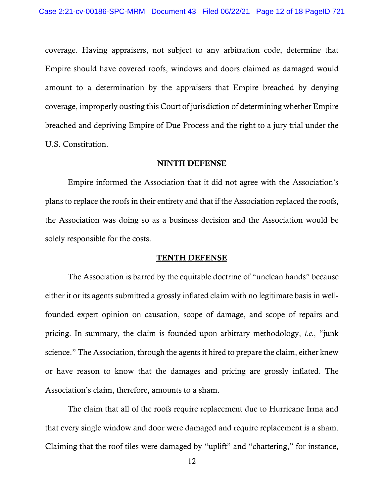coverage. Having appraisers, not subject to any arbitration code, determine that Empire should have covered roofs, windows and doors claimed as damaged would amount to a determination by the appraisers that Empire breached by denying coverage, improperly ousting this Court of jurisdiction of determining whether Empire breached and depriving Empire of Due Process and the right to a jury trial under the U.S. Constitution.

### NINTH DEFENSE

Empire informed the Association that it did not agree with the Association's plans to replace the roofs in their entirety and that if the Association replaced the roofs, the Association was doing so as a business decision and the Association would be solely responsible for the costs.

#### TENTH DEFENSE

The Association is barred by the equitable doctrine of "unclean hands" because either it or its agents submitted a grossly inflated claim with no legitimate basis in wellfounded expert opinion on causation, scope of damage, and scope of repairs and pricing. In summary, the claim is founded upon arbitrary methodology, *i.e.*, "junk science." The Association, through the agents it hired to prepare the claim, either knew or have reason to know that the damages and pricing are grossly inflated. The Association's claim, therefore, amounts to a sham.

The claim that all of the roofs require replacement due to Hurricane Irma and that every single window and door were damaged and require replacement is a sham. Claiming that the roof tiles were damaged by "uplift" and "chattering," for instance,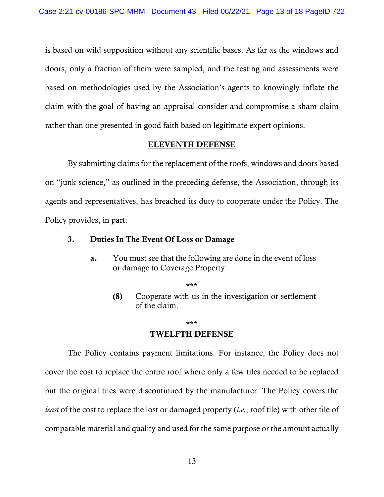is based on wild supposition without any scientific bases. As far as the windows and doors, only a fraction of them were sampled, and the testing and assessments were based on methodologies used by the Association's agents to knowingly inflate the claim with the goal of having an appraisal consider and compromise a sham claim rather than one presented in good faith based on legitimate expert opinions.

### ELEVENTH DEFENSE

By submitting claims for the replacement of the roofs, windows and doors based on "junk science," as outlined in the preceding defense, the Association, through its agents and representatives, has breached its duty to cooperate under the Policy. The Policy provides, in part:

# 3. Duties In The Event Of Loss or Damage

a. You must see that the following are done in the event of loss or damage to Coverage Property:

\*\*\*

(8) Cooperate with us in the investigation or settlement of the claim.

\*\*\*

### TWELFTH DEFENSE

The Policy contains payment limitations. For instance, the Policy does not cover the cost to replace the entire roof where only a few tiles needed to be replaced but the original tiles were discontinued by the manufacturer. The Policy covers the *least* of the cost to replace the lost or damaged property (*i.e.*, roof tile) with other tile of comparable material and quality and used for the same purpose or the amount actually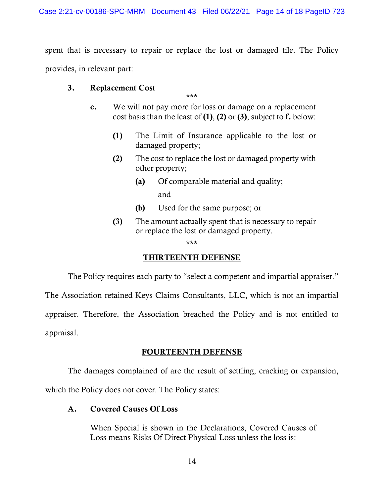spent that is necessary to repair or replace the lost or damaged tile. The Policy provides, in relevant part:

# 3. Replacement Cost

\*\*\*

- e. We will not pay more for loss or damage on a replacement cost basis than the least of  $(1)$ ,  $(2)$  or  $(3)$ , subject to f. below:
	- (1) The Limit of Insurance applicable to the lost or damaged property;
	- (2) The cost to replace the lost or damaged property with other property;
		- (a) Of comparable material and quality; and
		- (b) Used for the same purpose; or
	- (3) The amount actually spent that is necessary to repair or replace the lost or damaged property.

\*\*\*

# THIRTEENTH DEFENSE

The Policy requires each party to "select a competent and impartial appraiser."

The Association retained Keys Claims Consultants, LLC, which is not an impartial appraiser. Therefore, the Association breached the Policy and is not entitled to appraisal.

# FOURTEENTH DEFENSE

The damages complained of are the result of settling, cracking or expansion,

which the Policy does not cover. The Policy states:

# A. Covered Causes Of Loss

When Special is shown in the Declarations, Covered Causes of Loss means Risks Of Direct Physical Loss unless the loss is: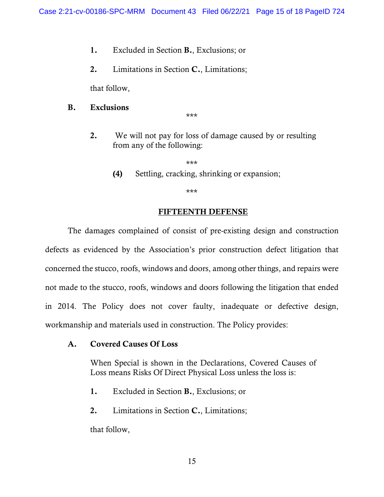- 1. Excluded in Section B., Exclusions; or
- 2. Limitations in Section C., Limitations;

that follow,

# B. Exclusions

\*\*\*

2. We will not pay for loss of damage caused by or resulting from any of the following:

\*\*\*

(4) Settling, cracking, shrinking or expansion;

\*\*\*

# FIFTEENTH DEFENSE

The damages complained of consist of pre-existing design and construction defects as evidenced by the Association's prior construction defect litigation that concerned the stucco, roofs, windows and doors, among other things, and repairs were not made to the stucco, roofs, windows and doors following the litigation that ended in 2014. The Policy does not cover faulty, inadequate or defective design, workmanship and materials used in construction. The Policy provides:

# A. Covered Causes Of Loss

When Special is shown in the Declarations, Covered Causes of Loss means Risks Of Direct Physical Loss unless the loss is:

- 1. Excluded in Section B., Exclusions; or
- 2. Limitations in Section C., Limitations;

that follow,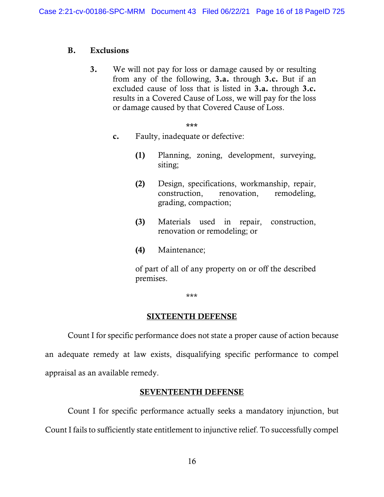# B. Exclusions

3. We will not pay for loss or damage caused by or resulting from any of the following, 3.a. through 3.c. But if an excluded cause of loss that is listed in 3.a. through 3.c. results in a Covered Cause of Loss, we will pay for the loss or damage caused by that Covered Cause of Loss.

\*\*\*

- c. Faulty, inadequate or defective:
	- (1) Planning, zoning, development, surveying, siting;
	- (2) Design, specifications, workmanship, repair, construction, renovation, remodeling, grading, compaction;
	- (3) Materials used in repair, construction, renovation or remodeling; or
	- (4) Maintenance;

of part of all of any property on or off the described premises.

\*\*\*

# SIXTEENTH DEFENSE

Count I for specific performance does not state a proper cause of action because an adequate remedy at law exists, disqualifying specific performance to compel appraisal as an available remedy.

# SEVENTEENTH DEFENSE

Count I for specific performance actually seeks a mandatory injunction, but Count I fails to sufficiently state entitlement to injunctive relief. To successfully compel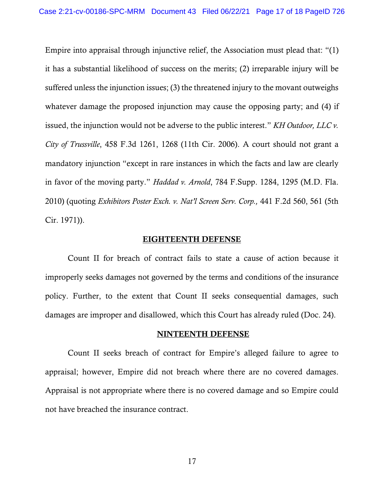Empire into appraisal through injunctive relief, the Association must plead that: "(1) it has a substantial likelihood of success on the merits; (2) irreparable injury will be suffered unless the injunction issues; (3) the threatened injury to the movant outweighs whatever damage the proposed injunction may cause the opposing party; and (4) if issued, the injunction would not be adverse to the public interest." *KH Outdoor, LLC v. City of Trussville*, 458 F.3d 1261, 1268 (11th Cir. 2006). A court should not grant a mandatory injunction "except in rare instances in which the facts and law are clearly in favor of the moving party." *Haddad v. Arnold*, 784 F.Supp. 1284, 1295 (M.D. Fla. 2010) (quoting *Exhibitors Poster Exch. v. Nat'l Screen Serv. Corp.,* 441 F.2d 560, 561 (5th Cir. 1971)).

### EIGHTEENTH DEFENSE

Count II for breach of contract fails to state a cause of action because it improperly seeks damages not governed by the terms and conditions of the insurance policy. Further, to the extent that Count II seeks consequential damages, such damages are improper and disallowed, which this Court has already ruled (Doc. 24).

#### NINTEENTH DEFENSE

Count II seeks breach of contract for Empire's alleged failure to agree to appraisal; however, Empire did not breach where there are no covered damages. Appraisal is not appropriate where there is no covered damage and so Empire could not have breached the insurance contract.